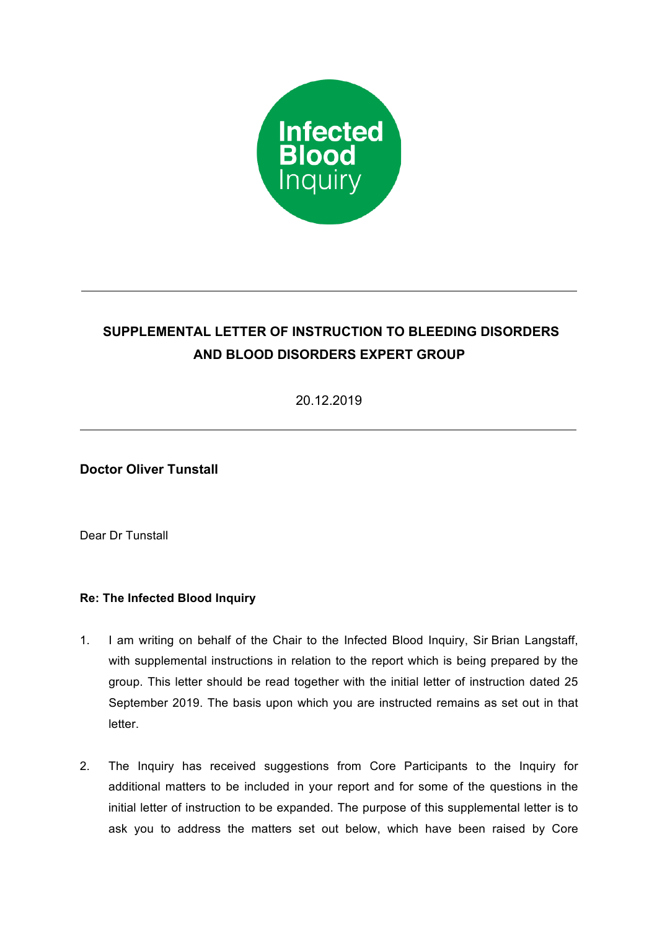

## **SUPPLEMENTAL LETTER OF INSTRUCTION TO BLEEDING DISORDERS AND BLOOD DISORDERS EXPERT GROUP**

20.12.2019

**Doctor Oliver Tunstall**

Dear Dr Tunstall

## **Re: The Infected Blood Inquiry**

- 1. I am writing on behalf of the Chair to the Infected Blood Inquiry, Sir Brian Langstaff, with supplemental instructions in relation to the report which is being prepared by the group. This letter should be read together with the initial letter of instruction dated 25 September 2019. The basis upon which you are instructed remains as set out in that letter.
- 2. The Inquiry has received suggestions from Core Participants to the Inquiry for additional matters to be included in your report and for some of the questions in the initial letter of instruction to be expanded. The purpose of this supplemental letter is to ask you to address the matters set out below, which have been raised by Core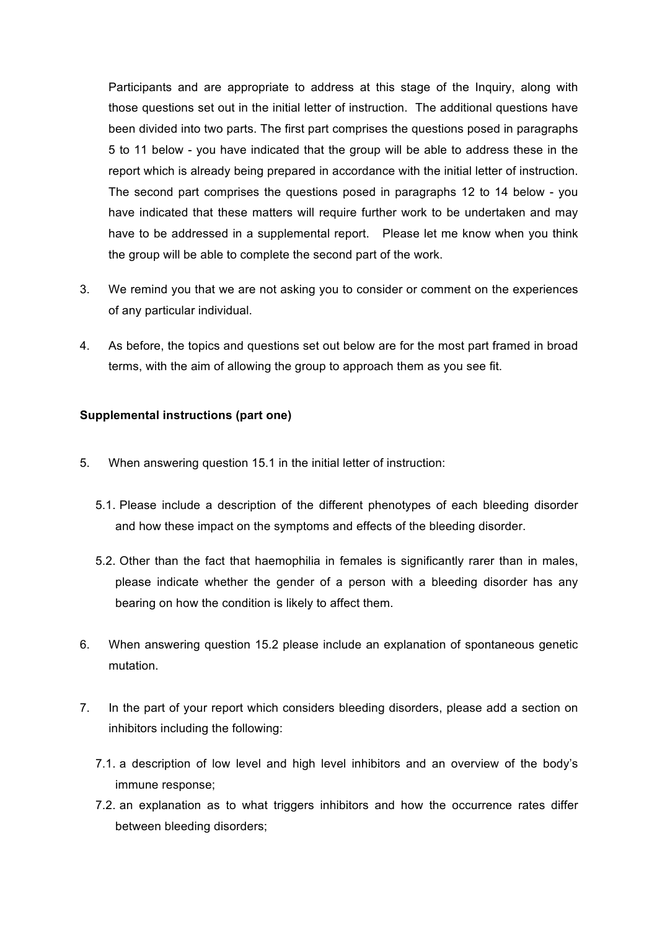Participants and are appropriate to address at this stage of the Inquiry, along with those questions set out in the initial letter of instruction. The additional questions have been divided into two parts. The first part comprises the questions posed in paragraphs 5 to 11 below - you have indicated that the group will be able to address these in the report which is already being prepared in accordance with the initial letter of instruction. The second part comprises the questions posed in paragraphs 12 to 14 below - you have indicated that these matters will require further work to be undertaken and may have to be addressed in a supplemental report. Please let me know when you think the group will be able to complete the second part of the work.

- 3. We remind you that we are not asking you to consider or comment on the experiences of any particular individual.
- 4. As before, the topics and questions set out below are for the most part framed in broad terms, with the aim of allowing the group to approach them as you see fit.

## **Supplemental instructions (part one)**

- 5. When answering question 15.1 in the initial letter of instruction:
	- 5.1. Please include a description of the different phenotypes of each bleeding disorder and how these impact on the symptoms and effects of the bleeding disorder.
	- 5.2. Other than the fact that haemophilia in females is significantly rarer than in males, please indicate whether the gender of a person with a bleeding disorder has any bearing on how the condition is likely to affect them.
- 6. When answering question 15.2 please include an explanation of spontaneous genetic mutation.
- 7. In the part of your report which considers bleeding disorders, please add a section on inhibitors including the following:
	- 7.1. a description of low level and high level inhibitors and an overview of the body's immune response;
	- 7.2. an explanation as to what triggers inhibitors and how the occurrence rates differ between bleeding disorders;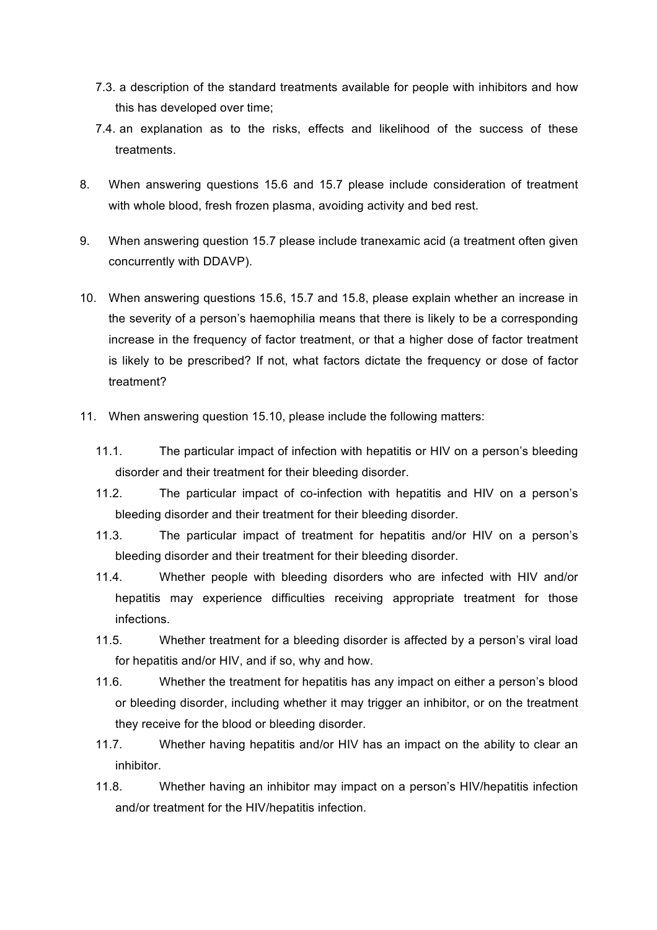- 7.3. a description of the standard treatments available for people with inhibitors and how this has developed over time;
- 7.4. an explanation as to the risks, effects and likelihood of the success of these treatments.
- 8. When answering questions 15.6 and 15.7 please include consideration of treatment with whole blood, fresh frozen plasma, avoiding activity and bed rest.
- 9. When answering question 15.7 please include tranexamic acid (a treatment often given concurrently with DDAVP).
- 10. When answering questions 15.6, 15.7 and 15.8, please explain whether an increase in the severity of a person's haemophilia means that there is likely to be a corresponding increase in the frequency of factor treatment, or that a higher dose of factor treatment is likely to be prescribed? If not, what factors dictate the frequency or dose of factor treatment?
- 11. When answering question 15.10, please include the following matters:
	- 11.1. The particular impact of infection with hepatitis or HIV on a person's bleeding disorder and their treatment for their bleeding disorder.
	- 11.2. The particular impact of co-infection with hepatitis and HIV on a person's bleeding disorder and their treatment for their bleeding disorder.
	- 11.3. The particular impact of treatment for hepatitis and/or HIV on a person's bleeding disorder and their treatment for their bleeding disorder.
	- 11.4. Whether people with bleeding disorders who are infected with HIV and/or hepatitis may experience difficulties receiving appropriate treatment for those infections.
	- 11.5. Whether treatment for a bleeding disorder is affected by a person's viral load for hepatitis and/or HIV, and if so, why and how.
	- 11.6. Whether the treatment for hepatitis has any impact on either a person's blood or bleeding disorder, including whether it may trigger an inhibitor, or on the treatment they receive for the blood or bleeding disorder.
	- 11.7. Whether having hepatitis and/or HIV has an impact on the ability to clear an inhibitor.
	- 11.8. Whether having an inhibitor may impact on a person's HIV/hepatitis infection and/or treatment for the HIV/hepatitis infection.